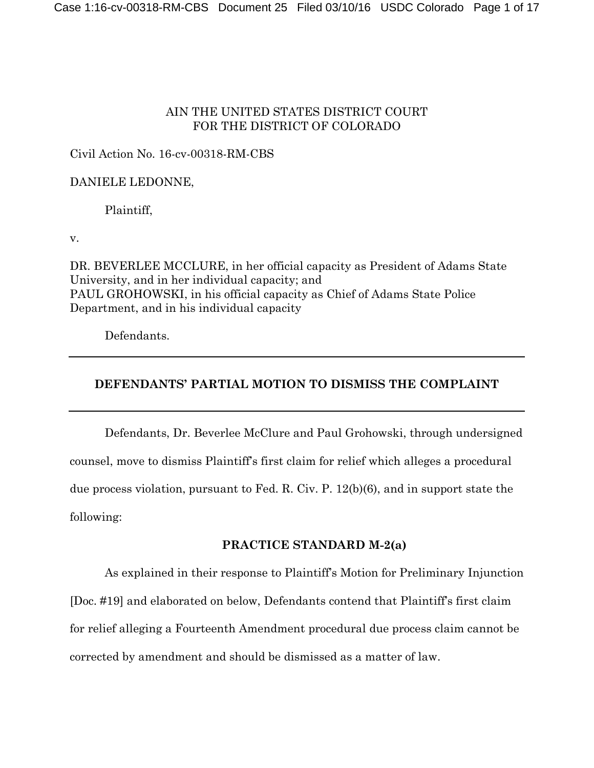# AIN THE UNITED STATES DISTRICT COURT FOR THE DISTRICT OF COLORADO

### Civil Action No. 16-cv-00318-RM-CBS

### DANIELE LEDONNE,

Plaintiff,

v.

DR. BEVERLEE MCCLURE, in her official capacity as President of Adams State University, and in her individual capacity; and PAUL GROHOWSKI, in his official capacity as Chief of Adams State Police Department, and in his individual capacity

Defendants.

# **DEFENDANTS' PARTIAL MOTION TO DISMISS THE COMPLAINT**

Defendants, Dr. Beverlee McClure and Paul Grohowski, through undersigned counsel, move to dismiss Plaintiff's first claim for relief which alleges a procedural due process violation, pursuant to Fed. R. Civ. P. 12(b)(6), and in support state the following:

### **PRACTICE STANDARD M-2(a)**

As explained in their response to Plaintiff's Motion for Preliminary Injunction [Doc. #19] and elaborated on below, Defendants contend that Plaintiff's first claim for relief alleging a Fourteenth Amendment procedural due process claim cannot be corrected by amendment and should be dismissed as a matter of law.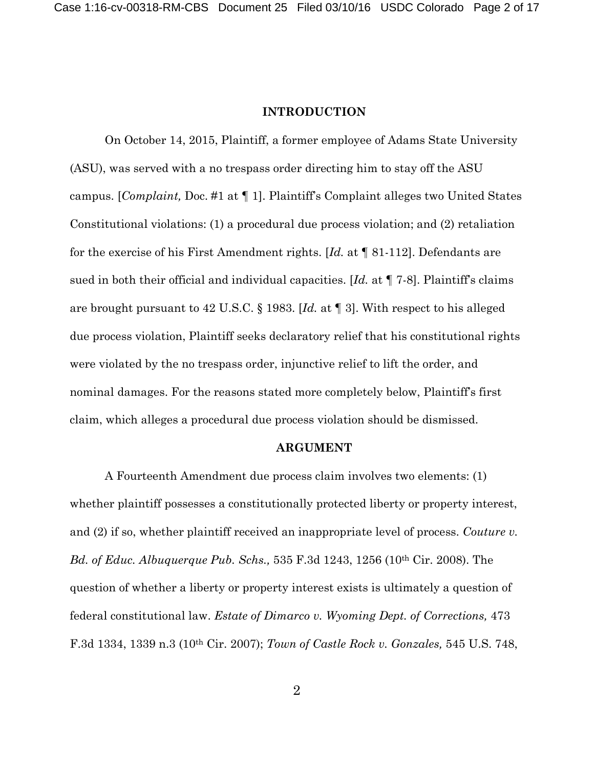#### **INTRODUCTION**

On October 14, 2015, Plaintiff, a former employee of Adams State University (ASU), was served with a no trespass order directing him to stay off the ASU campus. [*Complaint,* Doc. #1 at ¶ 1]. Plaintiff's Complaint alleges two United States Constitutional violations: (1) a procedural due process violation; and (2) retaliation for the exercise of his First Amendment rights. [*Id.* at ¶ 81-112]. Defendants are sued in both their official and individual capacities. [*Id.* at ¶ 7-8]. Plaintiff's claims are brought pursuant to 42 U.S.C. § 1983. [*Id.* at ¶ 3]. With respect to his alleged due process violation, Plaintiff seeks declaratory relief that his constitutional rights were violated by the no trespass order, injunctive relief to lift the order, and nominal damages. For the reasons stated more completely below, Plaintiff's first claim, which alleges a procedural due process violation should be dismissed.

#### **ARGUMENT**

A Fourteenth Amendment due process claim involves two elements: (1) whether plaintiff possesses a constitutionally protected liberty or property interest, and (2) if so, whether plaintiff received an inappropriate level of process. *Couture v. Bd. of Educ. Albuquerque Pub. Schs.,* 535 F.3d 1243, 1256 (10th Cir. 2008). The question of whether a liberty or property interest exists is ultimately a question of federal constitutional law. *Estate of Dimarco v. Wyoming Dept. of Corrections,* 473 F.3d 1334, 1339 n.3 (10th Cir. 2007); *Town of Castle Rock v. Gonzales,* 545 U.S. 748,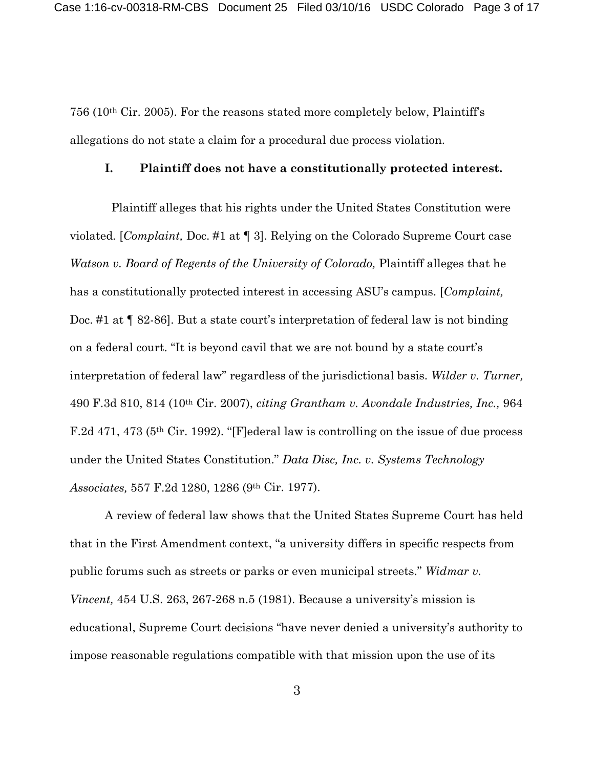756 (10th Cir. 2005). For the reasons stated more completely below, Plaintiff's allegations do not state a claim for a procedural due process violation.

#### **I. Plaintiff does not have a constitutionally protected interest.**

Plaintiff alleges that his rights under the United States Constitution were violated. [*Complaint,* Doc. #1 at ¶ 3]. Relying on the Colorado Supreme Court case *Watson v. Board of Regents of the University of Colorado, Plaintiff alleges that he* has a constitutionally protected interest in accessing ASU's campus. [*Complaint,* Doc. #1 at  $\llbracket$  82-86]. But a state court's interpretation of federal law is not binding on a federal court. "It is beyond cavil that we are not bound by a state court's interpretation of federal law" regardless of the jurisdictional basis. *Wilder v. Turner,* 490 F.3d 810, 814 (10th Cir. 2007), *citing Grantham v. Avondale Industries, Inc.,* 964 F.2d 471, 473 (5th Cir. 1992). "[F]ederal law is controlling on the issue of due process under the United States Constitution." *Data Disc, Inc. v. Systems Technology Associates,* 557 F.2d 1280, 1286 (9th Cir. 1977).

A review of federal law shows that the United States Supreme Court has held that in the First Amendment context, "a university differs in specific respects from public forums such as streets or parks or even municipal streets." *Widmar v. Vincent,* 454 U.S. 263, 267-268 n.5 (1981). Because a university's mission is educational, Supreme Court decisions "have never denied a university's authority to impose reasonable regulations compatible with that mission upon the use of its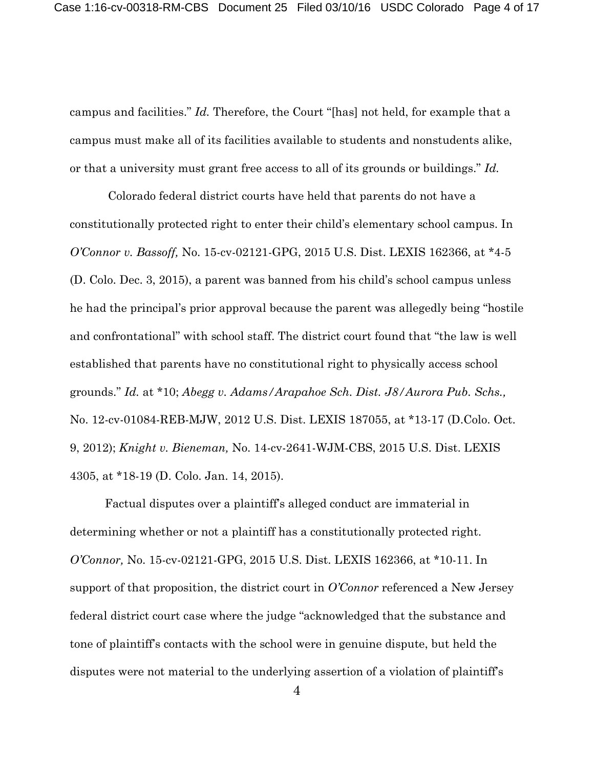campus and facilities." *Id.* Therefore, the Court "[has] not held, for example that a campus must make all of its facilities available to students and nonstudents alike, or that a university must grant free access to all of its grounds or buildings." *Id.*

Colorado federal district courts have held that parents do not have a constitutionally protected right to enter their child's elementary school campus. In *O'Connor v. Bassoff,* No. 15-cv-02121-GPG, 2015 U.S. Dist. LEXIS 162366, at \*4-5 (D. Colo. Dec. 3, 2015), a parent was banned from his child's school campus unless he had the principal's prior approval because the parent was allegedly being "hostile and confrontational" with school staff. The district court found that "the law is well established that parents have no constitutional right to physically access school grounds." *Id.* at \*10; *Abegg v. Adams/Arapahoe Sch. Dist. J8/Aurora Pub. Schs.,* No. 12-cv-01084-REB-MJW, 2012 U.S. Dist. LEXIS 187055, at \*13-17 (D.Colo. Oct. 9, 2012); *Knight v. Bieneman,* No. 14-cv-2641-WJM-CBS, 2015 U.S. Dist. LEXIS 4305, at \*18-19 (D. Colo. Jan. 14, 2015).

Factual disputes over a plaintiff's alleged conduct are immaterial in determining whether or not a plaintiff has a constitutionally protected right. *O'Connor,* No. 15-cv-02121-GPG, 2015 U.S. Dist. LEXIS 162366, at \*10-11. In support of that proposition, the district court in *O'Connor* referenced a New Jersey federal district court case where the judge "acknowledged that the substance and tone of plaintiff's contacts with the school were in genuine dispute, but held the disputes were not material to the underlying assertion of a violation of plaintiff's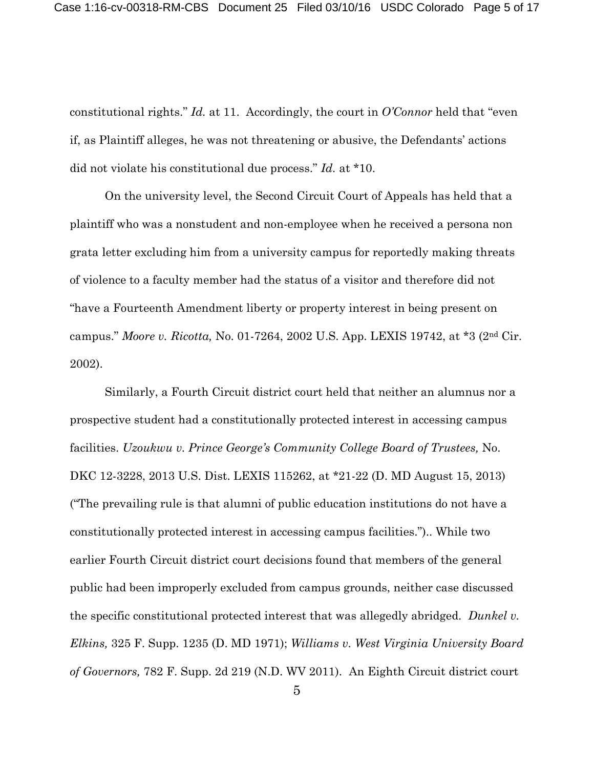constitutional rights." *Id.* at 11. Accordingly, the court in *O'Connor* held that "even if, as Plaintiff alleges, he was not threatening or abusive, the Defendants' actions did not violate his constitutional due process." *Id.* at \*10.

On the university level, the Second Circuit Court of Appeals has held that a plaintiff who was a nonstudent and non-employee when he received a persona non grata letter excluding him from a university campus for reportedly making threats of violence to a faculty member had the status of a visitor and therefore did not "have a Fourteenth Amendment liberty or property interest in being present on campus." *Moore v. Ricotta,* No. 01-7264, 2002 U.S. App. LEXIS 19742, at \*3 (2nd Cir. 2002).

Similarly, a Fourth Circuit district court held that neither an alumnus nor a prospective student had a constitutionally protected interest in accessing campus facilities. *Uzoukwu v. Prince George's Community College Board of Trustees,* No. DKC 12-3228, 2013 U.S. Dist. LEXIS 115262, at \*21-22 (D. MD August 15, 2013) ("The prevailing rule is that alumni of public education institutions do not have a constitutionally protected interest in accessing campus facilities.").. While two earlier Fourth Circuit district court decisions found that members of the general public had been improperly excluded from campus grounds, neither case discussed the specific constitutional protected interest that was allegedly abridged. *Dunkel v. Elkins,* 325 F. Supp. 1235 (D. MD 1971); *Williams v. West Virginia University Board of Governors,* 782 F. Supp. 2d 219 (N.D. WV 2011). An Eighth Circuit district court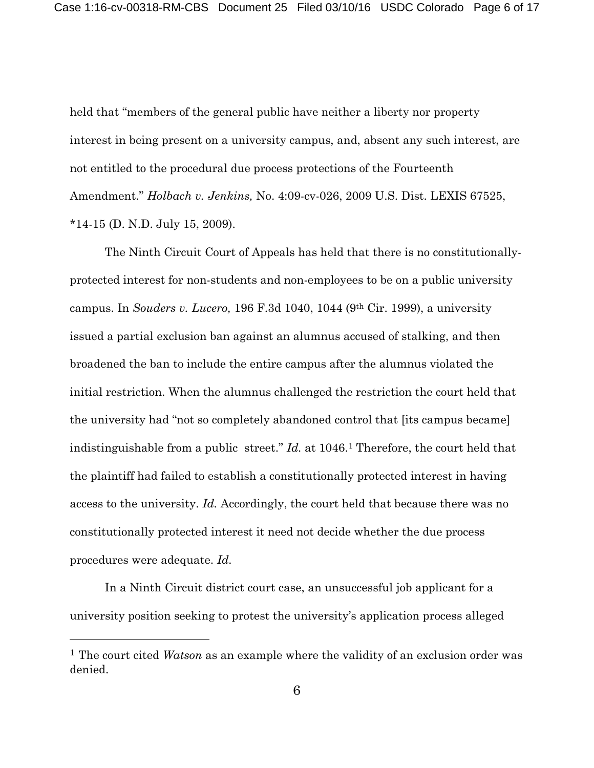held that "members of the general public have neither a liberty nor property interest in being present on a university campus, and, absent any such interest, are not entitled to the procedural due process protections of the Fourteenth Amendment." *Holbach v. Jenkins,* No. 4:09-cv-026, 2009 U.S. Dist. LEXIS 67525, \*14-15 (D. N.D. July 15, 2009).

The Ninth Circuit Court of Appeals has held that there is no constitutionallyprotected interest for non-students and non-employees to be on a public university campus. In *Souders v. Lucero,* 196 F.3d 1040, 1044 (9th Cir. 1999), a university issued a partial exclusion ban against an alumnus accused of stalking, and then broadened the ban to include the entire campus after the alumnus violated the initial restriction. When the alumnus challenged the restriction the court held that the university had "not so completely abandoned control that [its campus became] indistinguishable from a public street." *Id.* at 1046[.1](#page-5-0) Therefore, the court held that the plaintiff had failed to establish a constitutionally protected interest in having access to the university. *Id.* Accordingly, the court held that because there was no constitutionally protected interest it need not decide whether the due process procedures were adequate. *Id.*

In a Ninth Circuit district court case, an unsuccessful job applicant for a university position seeking to protest the university's application process alleged

 $\overline{a}$ 

<span id="page-5-0"></span><sup>1</sup> The court cited *Watson* as an example where the validity of an exclusion order was denied.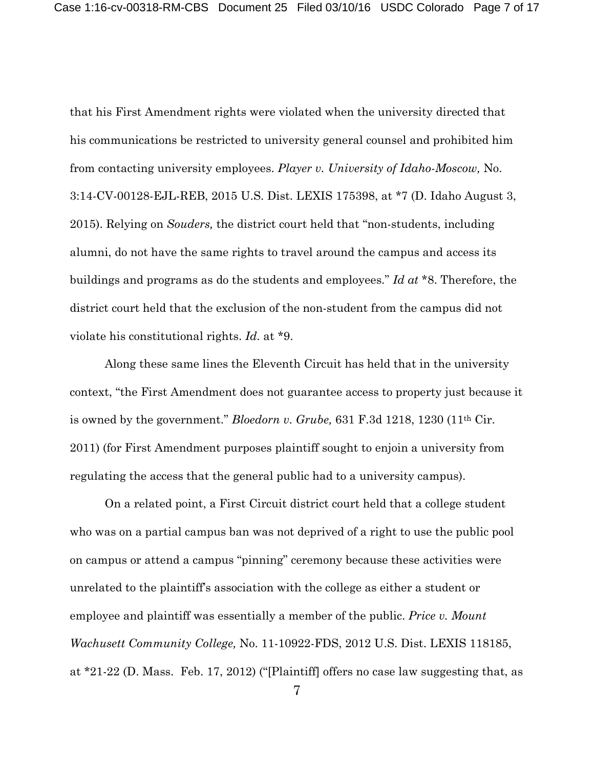that his First Amendment rights were violated when the university directed that his communications be restricted to university general counsel and prohibited him from contacting university employees. *Player v. University of Idaho-Moscow,* No. 3:14-CV-00128-EJL-REB, 2015 U.S. Dist. LEXIS 175398, at \*7 (D. Idaho August 3, 2015). Relying on *Souders,* the district court held that "non-students, including alumni, do not have the same rights to travel around the campus and access its buildings and programs as do the students and employees." *Id at* \*8. Therefore, the district court held that the exclusion of the non-student from the campus did not violate his constitutional rights. *Id.* at \*9.

Along these same lines the Eleventh Circuit has held that in the university context, "the First Amendment does not guarantee access to property just because it is owned by the government." *Bloedorn v. Grube,* 631 F.3d 1218, 1230 (11th Cir. 2011) (for First Amendment purposes plaintiff sought to enjoin a university from regulating the access that the general public had to a university campus).

On a related point, a First Circuit district court held that a college student who was on a partial campus ban was not deprived of a right to use the public pool on campus or attend a campus "pinning" ceremony because these activities were unrelated to the plaintiff's association with the college as either a student or employee and plaintiff was essentially a member of the public. *Price v. Mount Wachusett Community College,* No. 11-10922-FDS, 2012 U.S. Dist. LEXIS 118185, at \*21-22 (D. Mass. Feb. 17, 2012) ("[Plaintiff] offers no case law suggesting that, as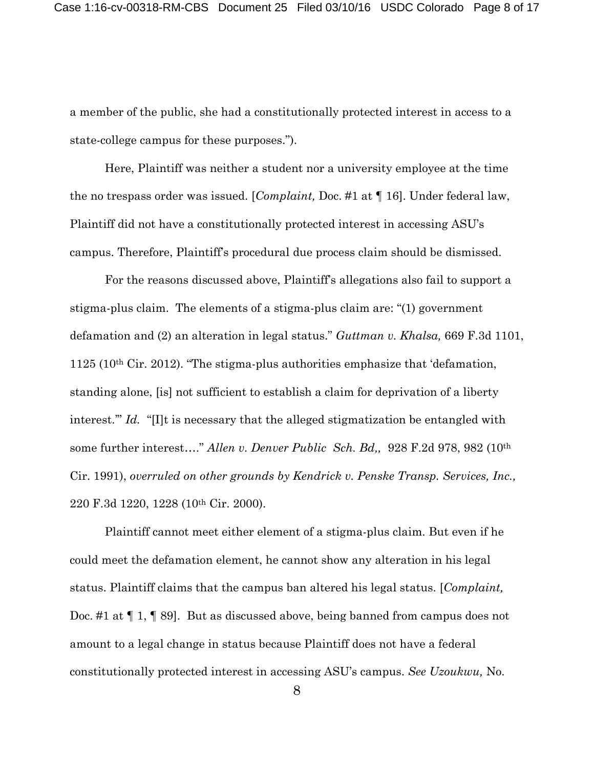a member of the public, she had a constitutionally protected interest in access to a state-college campus for these purposes.").

Here, Plaintiff was neither a student nor a university employee at the time the no trespass order was issued. [*Complaint,* Doc. #1 at ¶ 16]. Under federal law, Plaintiff did not have a constitutionally protected interest in accessing ASU's campus. Therefore, Plaintiff's procedural due process claim should be dismissed.

For the reasons discussed above, Plaintiff's allegations also fail to support a stigma-plus claim. The elements of a stigma-plus claim are: "(1) government defamation and (2) an alteration in legal status." *Guttman v. Khalsa,* 669 F.3d 1101, 1125 (10th Cir. 2012). "The stigma-plus authorities emphasize that 'defamation, standing alone, [is] not sufficient to establish a claim for deprivation of a liberty interest." *Id.* "[I]t is necessary that the alleged stigmatization be entangled with some further interest…." *Allen v. Denver Public Sch. Bd,,* 928 F.2d 978, 982 (10th Cir. 1991), *overruled on other grounds by Kendrick v. Penske Transp. Services, Inc.,* 220 F.3d 1220, 1228 (10th Cir. 2000).

Plaintiff cannot meet either element of a stigma-plus claim. But even if he could meet the defamation element, he cannot show any alteration in his legal status. Plaintiff claims that the campus ban altered his legal status. [*Complaint,* Doc. #1 at ¶ 1, ¶ 89]. But as discussed above, being banned from campus does not amount to a legal change in status because Plaintiff does not have a federal constitutionally protected interest in accessing ASU's campus. *See Uzoukwu,* No.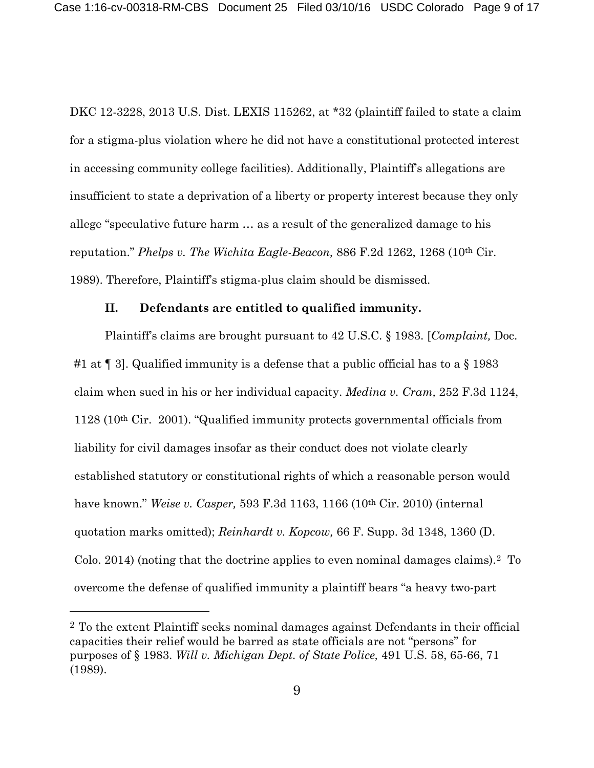DKC 12-3228, 2013 U.S. Dist. LEXIS 115262, at \*32 (plaintiff failed to state a claim for a stigma-plus violation where he did not have a constitutional protected interest in accessing community college facilities). Additionally, Plaintiff's allegations are insufficient to state a deprivation of a liberty or property interest because they only allege "speculative future harm … as a result of the generalized damage to his reputation." *Phelps v. The Wichita Eagle-Beacon,* 886 F.2d 1262, 1268 (10th Cir. 1989). Therefore, Plaintiff's stigma-plus claim should be dismissed.

#### **II. Defendants are entitled to qualified immunity.**

Plaintiff's claims are brought pursuant to 42 U.S.C. § 1983. [*Complaint,* Doc. #1 at  $\P$  3. Qualified immunity is a defense that a public official has to a  $\S$  1983 claim when sued in his or her individual capacity. *Medina v. Cram,* 252 F.3d 1124, 1128 (10th Cir. 2001). "Qualified immunity protects governmental officials from liability for civil damages insofar as their conduct does not violate clearly established statutory or constitutional rights of which a reasonable person would have known." *Weise v. Casper,* 593 F.3d 1163, 1166 (10th Cir. 2010) (internal quotation marks omitted); *Reinhardt v. Kopcow,* 66 F. Supp. 3d 1348, 1360 (D. Colo. 2014) (noting that the doctrine applies to even nominal damages claims).[2](#page-8-0) To overcome the defense of qualified immunity a plaintiff bears "a heavy two-part

 $\overline{a}$ 

<span id="page-8-0"></span><sup>2</sup> To the extent Plaintiff seeks nominal damages against Defendants in their official capacities their relief would be barred as state officials are not "persons" for purposes of § 1983. *Will v. Michigan Dept. of State Police,* 491 U.S. 58, 65-66, 71 (1989).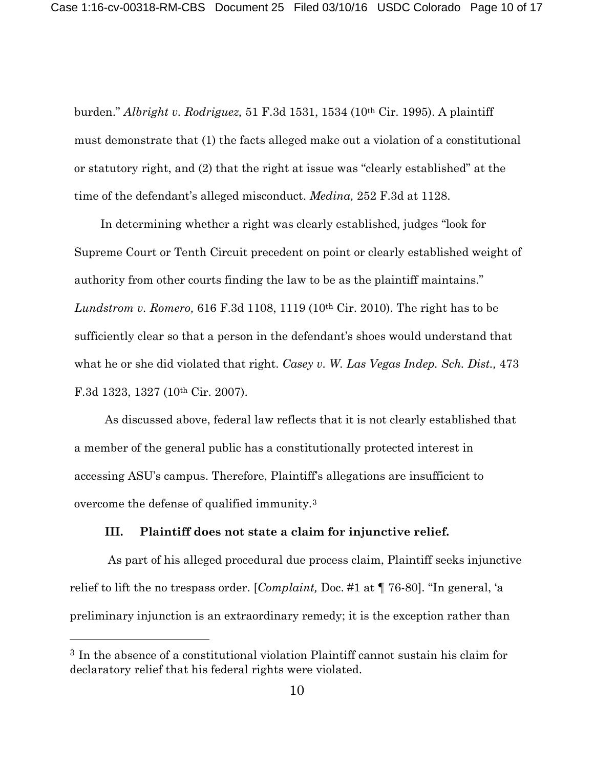burden." *Albright v. Rodriguez,* 51 F.3d 1531, 1534 (10th Cir. 1995). A plaintiff must demonstrate that (1) the facts alleged make out a violation of a constitutional or statutory right, and (2) that the right at issue was "clearly established" at the time of the defendant's alleged misconduct. *Medina,* 252 F.3d at 1128.

In determining whether a right was clearly established, judges "look for Supreme Court or Tenth Circuit precedent on point or clearly established weight of authority from other courts finding the law to be as the plaintiff maintains." *Lundstrom v. Romero,* 616 F.3d 1108, 1119 (10th Cir. 2010). The right has to be sufficiently clear so that a person in the defendant's shoes would understand that what he or she did violated that right. *Casey v. W. Las Vegas Indep. Sch. Dist.,* 473 F.3d 1323, 1327 (10th Cir. 2007).

As discussed above, federal law reflects that it is not clearly established that a member of the general public has a constitutionally protected interest in accessing ASU's campus. Therefore, Plaintiff's allegations are insufficient to overcome the defense of qualified immunity.[3](#page-9-0)

### **III. Plaintiff does not state a claim for injunctive relief.**

As part of his alleged procedural due process claim, Plaintiff seeks injunctive relief to lift the no trespass order. [*Complaint,* Doc. #1 at ¶ 76-80]. "In general, 'a preliminary injunction is an extraordinary remedy; it is the exception rather than

 $\overline{a}$ 

<span id="page-9-0"></span><sup>3</sup> In the absence of a constitutional violation Plaintiff cannot sustain his claim for declaratory relief that his federal rights were violated.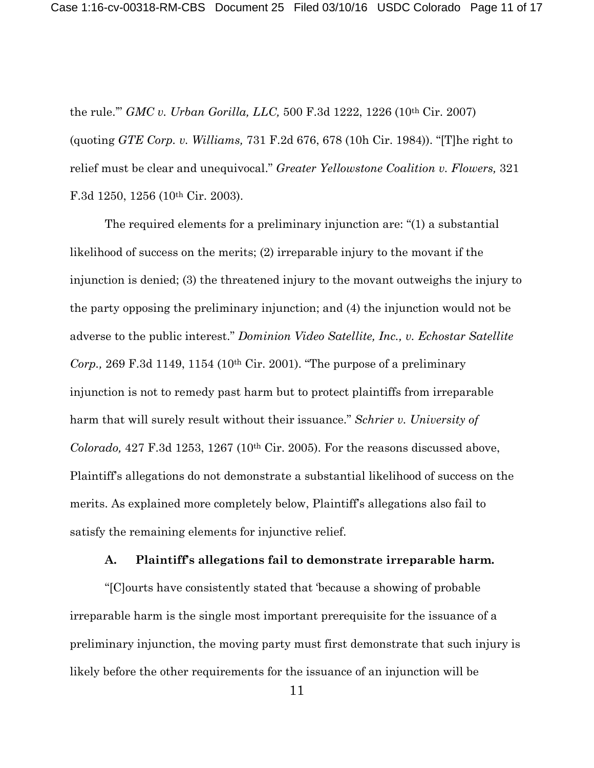the rule.'" *GMC v. Urban Gorilla, LLC,* 500 F.3d 1222, 1226 (10th Cir. 2007) (quoting *GTE Corp. v. Williams,* 731 F.2d 676, 678 (10h Cir. 1984)). "[T]he right to relief must be clear and unequivocal." *Greater Yellowstone Coalition v. Flowers,* 321 F.3d 1250, 1256 (10<sup>th</sup> Cir. 2003).

The required elements for a preliminary injunction are: "(1) a substantial likelihood of success on the merits; (2) irreparable injury to the movant if the injunction is denied; (3) the threatened injury to the movant outweighs the injury to the party opposing the preliminary injunction; and (4) the injunction would not be adverse to the public interest." *Dominion Video Satellite, Inc., v. Echostar Satellite Corp.,* 269 F.3d 1149, 1154 (10th Cir. 2001). "The purpose of a preliminary injunction is not to remedy past harm but to protect plaintiffs from irreparable harm that will surely result without their issuance." *Schrier v. University of Colorado,* 427 F.3d 1253, 1267 (10th Cir. 2005). For the reasons discussed above, Plaintiff's allegations do not demonstrate a substantial likelihood of success on the merits. As explained more completely below, Plaintiff's allegations also fail to satisfy the remaining elements for injunctive relief.

#### **A. Plaintiff's allegations fail to demonstrate irreparable harm.**

"[C]ourts have consistently stated that 'because a showing of probable irreparable harm is the single most important prerequisite for the issuance of a preliminary injunction, the moving party must first demonstrate that such injury is likely before the other requirements for the issuance of an injunction will be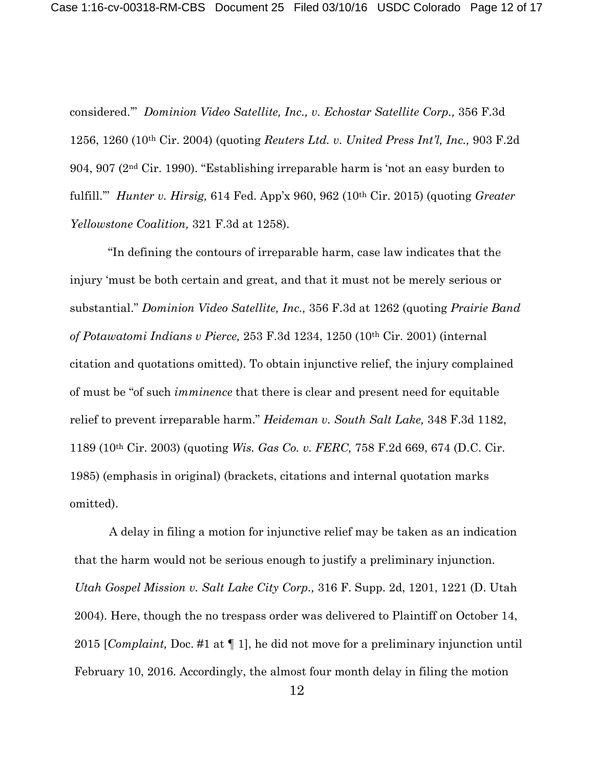considered.'" *Dominion Video Satellite, Inc., v. Echostar Satellite Corp.,* 356 F.3d 1256, 1260 (10th Cir. 2004) (quoting *Reuters Ltd. v. United Press Int'l, Inc.,* 903 F.2d 904, 907 (2nd Cir. 1990). "Establishing irreparable harm is 'not an easy burden to fulfill.'" *Hunter v. Hirsig,* 614 Fed. App'x 960, 962 (10th Cir. 2015) (quoting *Greater Yellowstone Coalition,* 321 F.3d at 1258).

"In defining the contours of irreparable harm, case law indicates that the injury 'must be both certain and great, and that it must not be merely serious or substantial." *Dominion Video Satellite, Inc.,* 356 F.3d at 1262 (quoting *Prairie Band of Potawatomi Indians v Pierce,* 253 F.3d 1234, 1250 (10th Cir. 2001) (internal citation and quotations omitted). To obtain injunctive relief, the injury complained of must be "of such *imminence* that there is clear and present need for equitable relief to prevent irreparable harm." *Heideman v. South Salt Lake,* 348 F.3d 1182, 1189 (10th Cir. 2003) (quoting *Wis. Gas Co. v. FERC,* 758 F.2d 669, 674 (D.C. Cir. 1985) (emphasis in original) (brackets, citations and internal quotation marks omitted).

A delay in filing a motion for injunctive relief may be taken as an indication that the harm would not be serious enough to justify a preliminary injunction. *Utah Gospel Mission v. Salt Lake City Corp.,* 316 F. Supp. 2d, 1201, 1221 (D. Utah 2004). Here, though the no trespass order was delivered to Plaintiff on October 14, 2015 [*Complaint,* Doc. #1 at ¶ 1], he did not move for a preliminary injunction until February 10, 2016. Accordingly, the almost four month delay in filing the motion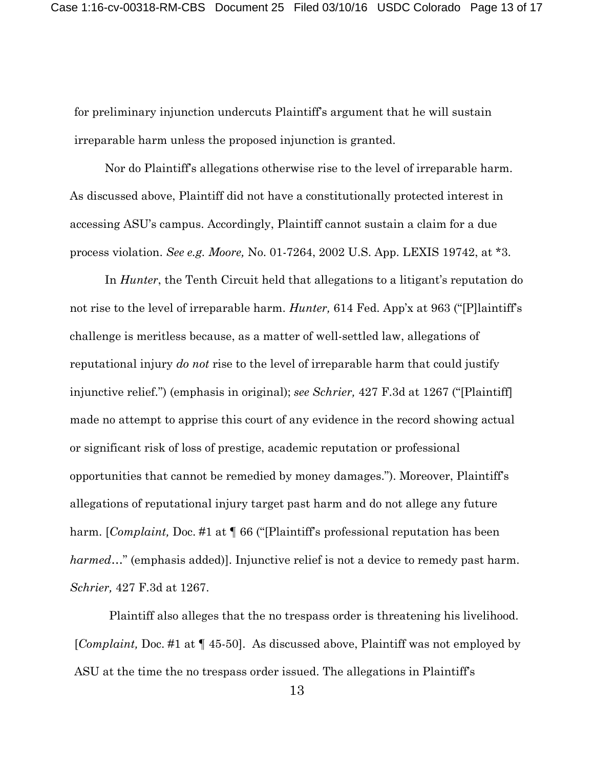for preliminary injunction undercuts Plaintiff's argument that he will sustain irreparable harm unless the proposed injunction is granted.

Nor do Plaintiff's allegations otherwise rise to the level of irreparable harm. As discussed above, Plaintiff did not have a constitutionally protected interest in accessing ASU's campus. Accordingly, Plaintiff cannot sustain a claim for a due process violation. *See e.g. Moore,* No. 01-7264, 2002 U.S. App. LEXIS 19742, at \*3.

In *Hunter*, the Tenth Circuit held that allegations to a litigant's reputation do not rise to the level of irreparable harm. *Hunter,* 614 Fed. App'x at 963 ("[P]laintiff's challenge is meritless because, as a matter of well-settled law, allegations of reputational injury *do not* rise to the level of irreparable harm that could justify injunctive relief.") (emphasis in original); *see Schrier,* 427 F.3d at 1267 ("[Plaintiff] made no attempt to apprise this court of any evidence in the record showing actual or significant risk of loss of prestige, academic reputation or professional opportunities that cannot be remedied by money damages."). Moreover, Plaintiff's allegations of reputational injury target past harm and do not allege any future harm. [*Complaint,* Doc. #1 at ¶ 66 ("[Plaintiff's professional reputation has been *harmed*…" (emphasis added)]. Injunctive relief is not a device to remedy past harm. *Schrier,* 427 F.3d at 1267.

Plaintiff also alleges that the no trespass order is threatening his livelihood. [*Complaint,* Doc. #1 at ¶ 45-50]. As discussed above, Plaintiff was not employed by ASU at the time the no trespass order issued. The allegations in Plaintiff's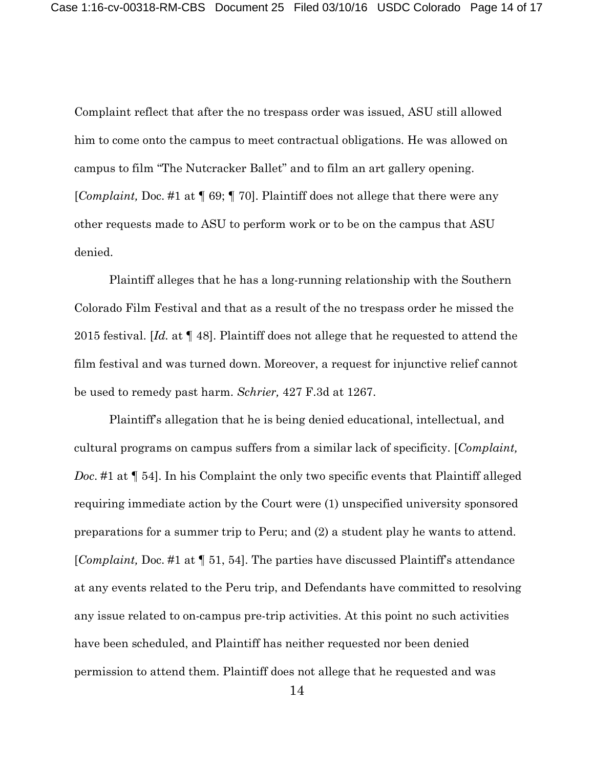Complaint reflect that after the no trespass order was issued, ASU still allowed him to come onto the campus to meet contractual obligations. He was allowed on campus to film "The Nutcracker Ballet" and to film an art gallery opening. [*Complaint,* Doc. #1 at ¶ 69; ¶ 70]. Plaintiff does not allege that there were any other requests made to ASU to perform work or to be on the campus that ASU denied.

Plaintiff alleges that he has a long-running relationship with the Southern Colorado Film Festival and that as a result of the no trespass order he missed the 2015 festival. [*Id.* at ¶ 48]. Plaintiff does not allege that he requested to attend the film festival and was turned down. Moreover, a request for injunctive relief cannot be used to remedy past harm. *Schrier,* 427 F.3d at 1267.

Plaintiff's allegation that he is being denied educational, intellectual, and cultural programs on campus suffers from a similar lack of specificity. [*Complaint, Doc*. #1 at ¶ 54]. In his Complaint the only two specific events that Plaintiff alleged requiring immediate action by the Court were (1) unspecified university sponsored preparations for a summer trip to Peru; and (2) a student play he wants to attend. [*Complaint,* Doc. #1 at ¶ 51, 54]. The parties have discussed Plaintiff's attendance at any events related to the Peru trip, and Defendants have committed to resolving any issue related to on-campus pre-trip activities. At this point no such activities have been scheduled, and Plaintiff has neither requested nor been denied permission to attend them. Plaintiff does not allege that he requested and was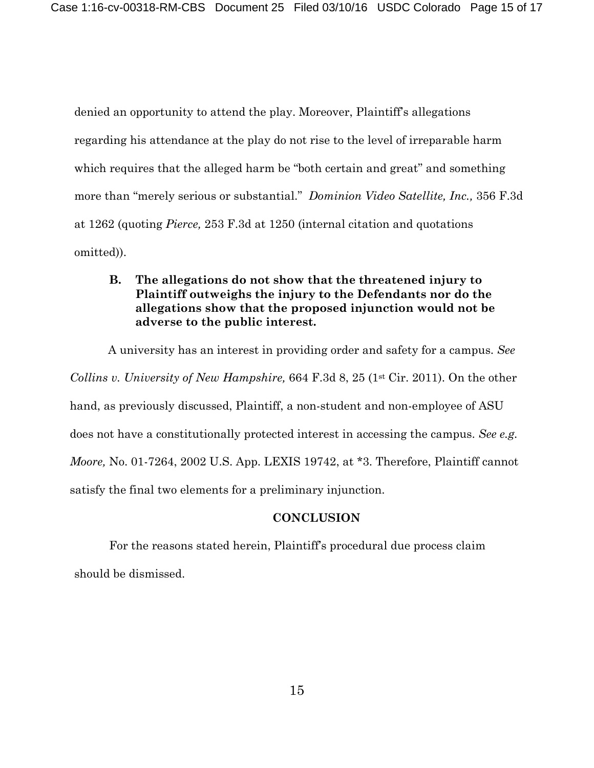denied an opportunity to attend the play. Moreover, Plaintiff's allegations regarding his attendance at the play do not rise to the level of irreparable harm which requires that the alleged harm be "both certain and great" and something more than "merely serious or substantial." *Dominion Video Satellite, Inc.,* 356 F.3d at 1262 (quoting *Pierce,* 253 F.3d at 1250 (internal citation and quotations omitted)).

# **B. The allegations do not show that the threatened injury to Plaintiff outweighs the injury to the Defendants nor do the allegations show that the proposed injunction would not be adverse to the public interest.**

A university has an interest in providing order and safety for a campus. *See Collins v. University of New Hampshire,* 664 F.3d 8, 25 (1<sup>st</sup> Cir. 2011). On the other hand, as previously discussed, Plaintiff, a non-student and non-employee of ASU does not have a constitutionally protected interest in accessing the campus. *See e.g. Moore,* No. 01-7264, 2002 U.S. App. LEXIS 19742, at \*3. Therefore, Plaintiff cannot satisfy the final two elements for a preliminary injunction.

# **CONCLUSION**

For the reasons stated herein, Plaintiff's procedural due process claim should be dismissed.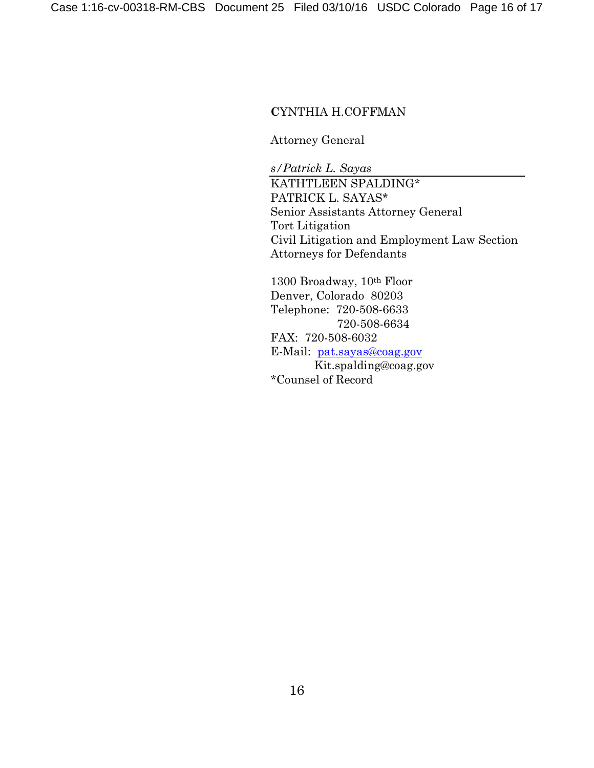### **C**YNTHIA H.COFFMAN

Attorney General

*s/Patrick L. Sayas* KATHTLEEN SPALDING\* PATRICK L. SAYAS\* Senior Assistants Attorney General Tort Litigation Civil Litigation and Employment Law Section Attorneys for Defendants

1300 Broadway, 10th Floor Denver, Colorado 80203 Telephone: 720-508-6633 720-508-6634 FAX: 720-508-6032 E-Mail: [pat.sayas@coag.gov](mailto:pat.sayas@coag.gov) Kit.spalding@coag.gov \*Counsel of Record